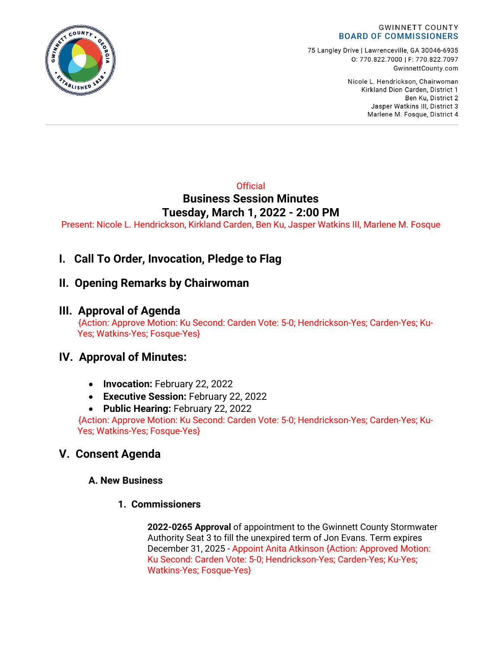

75 Langley Drive | Lawrenceville, GA 30046-6935 0:770.822.7000 | F: 770.822.7097 GwinnettCounty.com

> Nicole L. Hendrickson, Chairwoman Kirkland Dion Carden, District 1 Ben Ku. District 2 Jasper Watkins III, District 3 Marlene M. Fosque, District 4

### **Official Business Session Minutes Tuesday, March 1, 2022 - 2:00 PM**

Present: Nicole L. Hendrickson, Kirkland Carden, Ben Ku, Jasper Watkins III, Marlene M. Fosque

# **I. Call To Order, Invocation, Pledge to Flag**

## **II. Opening Remarks by Chairwoman**

## **III. Approval of Agenda**

 {Action: Approve Motion: Ku Second: Carden Vote: 5-0; Hendrickson-Yes; Carden-Yes; Ku-Yes; Watkins-Yes; Fosque-Yes}

# **IV. Approval of Minutes:**

- **Invocation:** February 22, 2022
- **Executive Session:** February 22, 2022
- **Public Hearing:** February 22, 2022

{Action: Approve Motion: Ku Second: Carden Vote: 5-0; Hendrickson-Yes; Carden-Yes; Ku-Yes; Watkins-Yes; Fosque-Yes}

# **V. Consent Agenda**

### **A. New Business**

**1. Commissioners**

**2022-0265 Approval** of appointment to the Gwinnett County Stormwater Authority Seat 3 to fill the unexpired term of Jon Evans. Term expires December 31, 2025 - Appoint Anita Atkinson {Action: Approved Motion: Ku Second: Carden Vote: 5-0; Hendrickson-Yes; Carden-Yes; Ku-Yes; Watkins-Yes; Fosque-Yes}

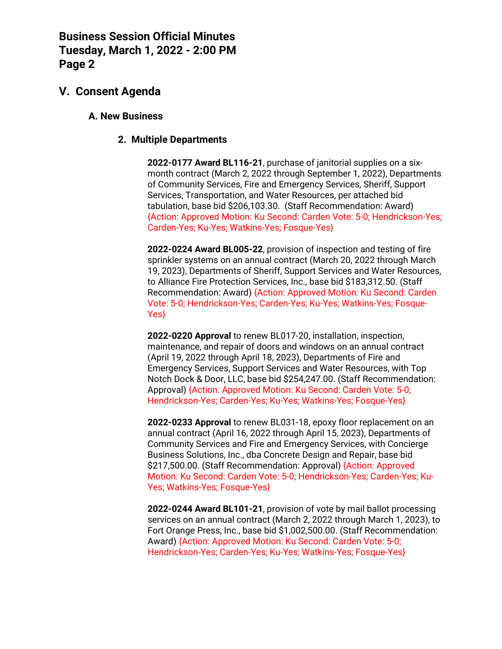## **V. Consent Agenda**

#### **A. New Business**

#### **2. Multiple Departments**

**2022-0177 Award BL116-21**, purchase of janitorial supplies on a sixmonth contract (March 2, 2022 through September 1, 2022), Departments of Community Services, Fire and Emergency Services, Sheriff, Support Services, Transportation, and Water Resources, per attached bid tabulation, base bid \$206,103.30. (Staff Recommendation: Award) {Action: Approved Motion: Ku Second: Carden Vote: 5-0; Hendrickson-Yes; Carden-Yes; Ku-Yes; Watkins-Yes; Fosque-Yes}

**2022-0224 Award BL005-22**, provision of inspection and testing of fire sprinkler systems on an annual contract (March 20, 2022 through March 19, 2023), Departments of Sheriff, Support Services and Water Resources, to Alliance Fire Protection Services, Inc., base bid \$183,312.50. (Staff Recommendation: Award) {Action: Approved Motion: Ku Second: Carden Vote: 5-0; Hendrickson-Yes; Carden-Yes; Ku-Yes; Watkins-Yes; Fosque-Yes}

**2022-0220 Approval** to renew BL017-20, installation, inspection, maintenance, and repair of doors and windows on an annual contract (April 19, 2022 through April 18, 2023), Departments of Fire and Emergency Services, Support Services and Water Resources, with Top Notch Dock & Door, LLC, base bid \$254,247.00. (Staff Recommendation: Approval) {Action: Approved Motion: Ku Second: Carden Vote: 5-0; Hendrickson-Yes; Carden-Yes; Ku-Yes; Watkins-Yes; Fosque-Yes}

**2022-0233 Approval** to renew BL031-18, epoxy floor replacement on an annual contract (April 16, 2022 through April 15, 2023), Departments of Community Services and Fire and Emergency Services, with Concierge Business Solutions, Inc., dba Concrete Design and Repair, base bid \$217,500.00. (Staff Recommendation: Approval) {Action: Approved Motion: Ku Second: Carden Vote: 5-0; Hendrickson-Yes; Carden-Yes; Ku-Yes; Watkins-Yes; Fosque-Yes}

**2022-0244 Award BL101-21**, provision of vote by mail ballot processing services on an annual contract (March 2, 2022 through March 1, 2023), to Fort Orange Press, Inc., base bid \$1,002,500.00. (Staff Recommendation: Award) {Action: Approved Motion: Ku Second: Carden Vote: 5-0; Hendrickson-Yes; Carden-Yes; Ku-Yes; Watkins-Yes; Fosque-Yes}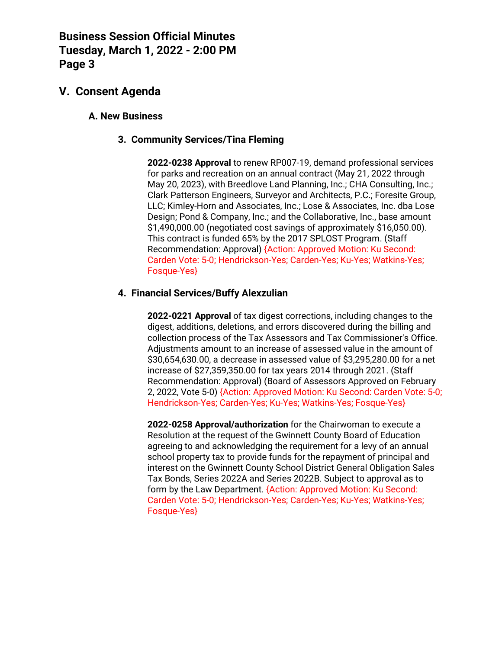## **V. Consent Agenda**

### **A. New Business**

### **3. Community Services/Tina Fleming**

**2022-0238 Approval** to renew RP007-19, demand professional services for parks and recreation on an annual contract (May 21, 2022 through May 20, 2023), with Breedlove Land Planning, Inc.; CHA Consulting, Inc.; Clark Patterson Engineers, Surveyor and Architects, P.C.; Foresite Group, LLC; Kimley-Horn and Associates, Inc.; Lose & Associates, Inc. dba Lose Design; Pond & Company, Inc.; and the Collaborative, Inc., base amount \$1,490,000.00 (negotiated cost savings of approximately \$16,050.00). This contract is funded 65% by the 2017 SPLOST Program. (Staff Recommendation: Approval) {Action: Approved Motion: Ku Second: Carden Vote: 5-0; Hendrickson-Yes; Carden-Yes; Ku-Yes; Watkins-Yes; Fosque-Yes}

### **4. Financial Services/Buffy Alexzulian**

**2022-0221 Approval** of tax digest corrections, including changes to the digest, additions, deletions, and errors discovered during the billing and collection process of the Tax Assessors and Tax Commissioner's Office. Adjustments amount to an increase of assessed value in the amount of \$30,654,630.00, a decrease in assessed value of \$3,295,280.00 for a net increase of \$27,359,350.00 for tax years 2014 through 2021. (Staff Recommendation: Approval) (Board of Assessors Approved on February 2, 2022, Vote 5-0) {Action: Approved Motion: Ku Second: Carden Vote: 5-0; Hendrickson-Yes; Carden-Yes; Ku-Yes; Watkins-Yes; Fosque-Yes}

**2022-0258 Approval/authorization** for the Chairwoman to execute a Resolution at the request of the Gwinnett County Board of Education agreeing to and acknowledging the requirement for a levy of an annual school property tax to provide funds for the repayment of principal and interest on the Gwinnett County School District General Obligation Sales Tax Bonds, Series 2022A and Series 2022B. Subject to approval as to form by the Law Department. {Action: Approved Motion: Ku Second: Carden Vote: 5-0; Hendrickson-Yes; Carden-Yes; Ku-Yes; Watkins-Yes; Fosque-Yes}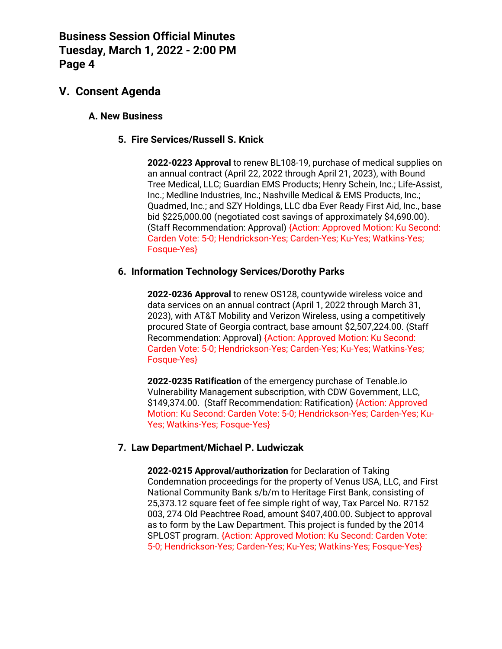## **V. Consent Agenda**

### **A. New Business**

### **5. Fire Services/Russell S. Knick**

**2022-0223 Approval** to renew BL108-19, purchase of medical supplies on an annual contract (April 22, 2022 through April 21, 2023), with Bound Tree Medical, LLC; Guardian EMS Products; Henry Schein, Inc.; Life-Assist, Inc.; Medline Industries, Inc.; Nashville Medical & EMS Products, Inc.; Quadmed, Inc.; and SZY Holdings, LLC dba Ever Ready First Aid, Inc., base bid \$225,000.00 (negotiated cost savings of approximately \$4,690.00). (Staff Recommendation: Approval) {Action: Approved Motion: Ku Second: Carden Vote: 5-0; Hendrickson-Yes; Carden-Yes; Ku-Yes; Watkins-Yes; Fosque-Yes}

#### **6. Information Technology Services/Dorothy Parks**

**2022-0236 Approval** to renew OS128, countywide wireless voice and data services on an annual contract (April 1, 2022 through March 31, 2023), with AT&T Mobility and Verizon Wireless, using a competitively procured State of Georgia contract, base amount \$2,507,224.00. (Staff Recommendation: Approval) {Action: Approved Motion: Ku Second: Carden Vote: 5-0; Hendrickson-Yes; Carden-Yes; Ku-Yes; Watkins-Yes; Fosque-Yes}

**2022-0235 Ratification** of the emergency purchase of Tenable.io Vulnerability Management subscription, with CDW Government, LLC, \$149,374.00. (Staff Recommendation: Ratification) {Action: Approved Motion: Ku Second: Carden Vote: 5-0; Hendrickson-Yes; Carden-Yes; Ku-Yes; Watkins-Yes; Fosque-Yes}

### **7. Law Department/Michael P. Ludwiczak**

**2022-0215 Approval/authorization** for Declaration of Taking Condemnation proceedings for the property of Venus USA, LLC, and First National Community Bank s/b/m to Heritage First Bank, consisting of 25,373.12 square feet of fee simple right of way, Tax Parcel No. R7152 003, 274 Old Peachtree Road, amount \$407,400.00. Subject to approval as to form by the Law Department. This project is funded by the 2014 SPLOST program. {Action: Approved Motion: Ku Second: Carden Vote: 5-0; Hendrickson-Yes; Carden-Yes; Ku-Yes; Watkins-Yes; Fosque-Yes}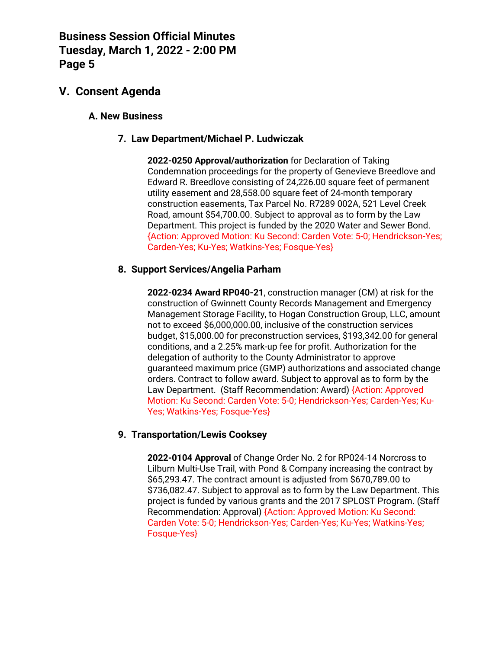## **V. Consent Agenda**

### **A. New Business**

### **7. Law Department/Michael P. Ludwiczak**

**2022-0250 Approval/authorization** for Declaration of Taking Condemnation proceedings for the property of Genevieve Breedlove and Edward R. Breedlove consisting of 24,226.00 square feet of permanent utility easement and 28,558.00 square feet of 24-month temporary construction easements, Tax Parcel No. R7289 002A, 521 Level Creek Road, amount \$54,700.00. Subject to approval as to form by the Law Department. This project is funded by the 2020 Water and Sewer Bond. {Action: Approved Motion: Ku Second: Carden Vote: 5-0; Hendrickson-Yes; Carden-Yes; Ku-Yes; Watkins-Yes; Fosque-Yes}

### **8. Support Services/Angelia Parham**

**2022-0234 Award RP040-21**, construction manager (CM) at risk for the construction of Gwinnett County Records Management and Emergency Management Storage Facility, to Hogan Construction Group, LLC, amount not to exceed \$6,000,000.00, inclusive of the construction services budget, \$15,000.00 for preconstruction services, \$193,342.00 for general conditions, and a 2.25% mark-up fee for profit. Authorization for the delegation of authority to the County Administrator to approve guaranteed maximum price (GMP) authorizations and associated change orders. Contract to follow award. Subject to approval as to form by the Law Department. (Staff Recommendation: Award) {Action: Approved Motion: Ku Second: Carden Vote: 5-0; Hendrickson-Yes; Carden-Yes; Ku-Yes; Watkins-Yes; Fosque-Yes}

### **9. Transportation/Lewis Cooksey**

**2022-0104 Approval** of Change Order No. 2 for RP024-14 Norcross to Lilburn Multi-Use Trail, with Pond & Company increasing the contract by \$65,293.47. The contract amount is adjusted from \$670,789.00 to \$736,082.47. Subject to approval as to form by the Law Department. This project is funded by various grants and the 2017 SPLOST Program. (Staff Recommendation: Approval) {Action: Approved Motion: Ku Second: Carden Vote: 5-0; Hendrickson-Yes; Carden-Yes; Ku-Yes; Watkins-Yes; Fosque-Yes}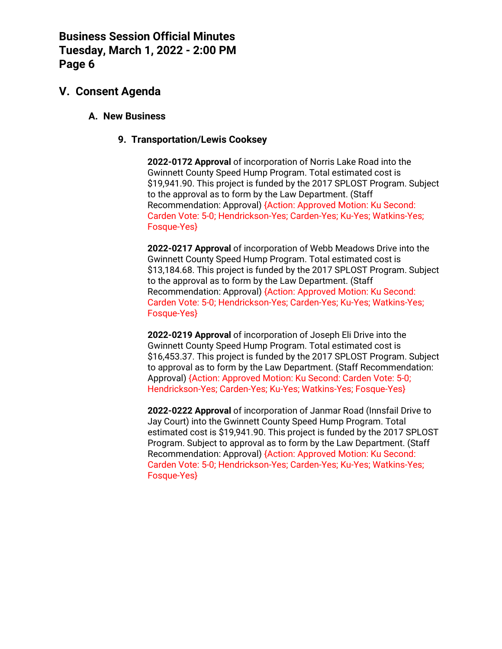## **V. Consent Agenda**

### **A. New Business**

### **9. Transportation/Lewis Cooksey**

**2022-0172 Approval** of incorporation of Norris Lake Road into the Gwinnett County Speed Hump Program. Total estimated cost is \$19,941.90. This project is funded by the 2017 SPLOST Program. Subject to the approval as to form by the Law Department. (Staff Recommendation: Approval) {Action: Approved Motion: Ku Second: Carden Vote: 5-0; Hendrickson-Yes; Carden-Yes; Ku-Yes; Watkins-Yes; Fosque-Yes}

**2022-0217 Approval** of incorporation of Webb Meadows Drive into the Gwinnett County Speed Hump Program. Total estimated cost is \$13,184.68. This project is funded by the 2017 SPLOST Program. Subject to the approval as to form by the Law Department. (Staff Recommendation: Approval) {Action: Approved Motion: Ku Second: Carden Vote: 5-0; Hendrickson-Yes; Carden-Yes; Ku-Yes; Watkins-Yes; Fosque-Yes}

**2022-0219 Approval** of incorporation of Joseph Eli Drive into the Gwinnett County Speed Hump Program. Total estimated cost is \$16,453.37. This project is funded by the 2017 SPLOST Program. Subject to approval as to form by the Law Department. (Staff Recommendation: Approval) {Action: Approved Motion: Ku Second: Carden Vote: 5-0; Hendrickson-Yes; Carden-Yes; Ku-Yes; Watkins-Yes; Fosque-Yes}

**2022-0222 Approval** of incorporation of Janmar Road (Innsfail Drive to Jay Court) into the Gwinnett County Speed Hump Program. Total estimated cost is \$19,941.90. This project is funded by the 2017 SPLOST Program. Subject to approval as to form by the Law Department. (Staff Recommendation: Approval) {Action: Approved Motion: Ku Second: Carden Vote: 5-0; Hendrickson-Yes; Carden-Yes; Ku-Yes; Watkins-Yes; Fosque-Yes}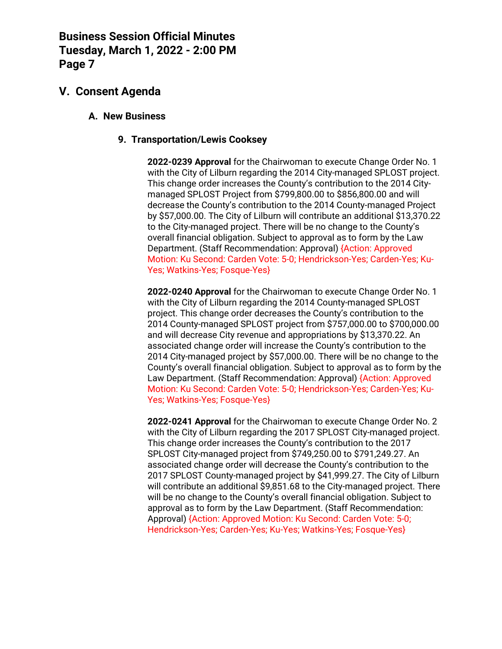## **V. Consent Agenda**

### **A. New Business**

### **9. Transportation/Lewis Cooksey**

**2022-0239 Approval** for the Chairwoman to execute Change Order No. 1 with the City of Lilburn regarding the 2014 City-managed SPLOST project. This change order increases the County's contribution to the 2014 Citymanaged SPLOST Project from \$799,800.00 to \$856,800.00 and will decrease the County's contribution to the 2014 County-managed Project by \$57,000.00. The City of Lilburn will contribute an additional \$13,370.22 to the City-managed project. There will be no change to the County's overall financial obligation. Subject to approval as to form by the Law Department. (Staff Recommendation: Approval) {Action: Approved Motion: Ku Second: Carden Vote: 5-0; Hendrickson-Yes; Carden-Yes; Ku-Yes; Watkins-Yes; Fosque-Yes}

**2022-0240 Approval** for the Chairwoman to execute Change Order No. 1 with the City of Lilburn regarding the 2014 County-managed SPLOST project. This change order decreases the County's contribution to the 2014 County-managed SPLOST project from \$757,000.00 to \$700,000.00 and will decrease City revenue and appropriations by \$13,370.22. An associated change order will increase the County's contribution to the 2014 City-managed project by \$57,000.00. There will be no change to the County's overall financial obligation. Subject to approval as to form by the Law Department. (Staff Recommendation: Approval) {Action: Approved Motion: Ku Second: Carden Vote: 5-0; Hendrickson-Yes; Carden-Yes; Ku-Yes; Watkins-Yes; Fosque-Yes}

**2022-0241 Approval** for the Chairwoman to execute Change Order No. 2 with the City of Lilburn regarding the 2017 SPLOST City-managed project. This change order increases the County's contribution to the 2017 SPLOST City-managed project from \$749,250.00 to \$791,249.27. An associated change order will decrease the County's contribution to the 2017 SPLOST County-managed project by \$41,999.27. The City of Lilburn will contribute an additional \$9,851.68 to the City-managed project. There will be no change to the County's overall financial obligation. Subject to approval as to form by the Law Department. (Staff Recommendation: Approval) {Action: Approved Motion: Ku Second: Carden Vote: 5-0; Hendrickson-Yes; Carden-Yes; Ku-Yes; Watkins-Yes; Fosque-Yes}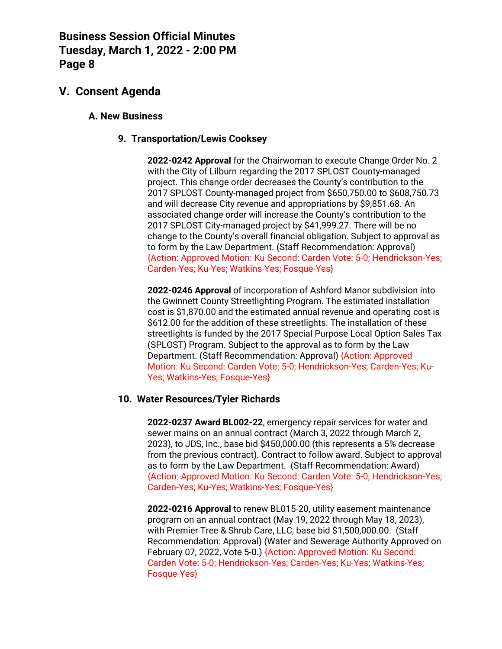## **V. Consent Agenda**

### **A. New Business**

### **9. Transportation/Lewis Cooksey**

**2022-0242 Approval** for the Chairwoman to execute Change Order No. 2 with the City of Lilburn regarding the 2017 SPLOST County-managed project. This change order decreases the County's contribution to the 2017 SPLOST County-managed project from \$650,750.00 to \$608,750.73 and will decrease City revenue and appropriations by \$9,851.68. An associated change order will increase the County's contribution to the 2017 SPLOST City-managed project by \$41,999.27. There will be no change to the County's overall financial obligation. Subject to approval as to form by the Law Department. (Staff Recommendation: Approval) {Action: Approved Motion: Ku Second: Carden Vote: 5-0; Hendrickson-Yes; Carden-Yes; Ku-Yes; Watkins-Yes; Fosque-Yes}

**2022-0246 Approval** of incorporation of Ashford Manor subdivision into the Gwinnett County Streetlighting Program. The estimated installation cost is \$1,870.00 and the estimated annual revenue and operating cost is \$612.00 for the addition of these streetlights. The installation of these streetlights is funded by the 2017 Special Purpose Local Option Sales Tax (SPLOST) Program. Subject to the approval as to form by the Law Department. (Staff Recommendation: Approval) {Action: Approved Motion: Ku Second: Carden Vote: 5-0; Hendrickson-Yes; Carden-Yes; Ku-Yes; Watkins-Yes; Fosque-Yes}

#### **10. Water Resources/Tyler Richards**

**2022-0237 Award BL002-22**, emergency repair services for water and sewer mains on an annual contract (March 3, 2022 through March 2, 2023), to JDS, Inc., base bid \$450,000.00 (this represents a 5% decrease from the previous contract). Contract to follow award. Subject to approval as to form by the Law Department. (Staff Recommendation: Award) {Action: Approved Motion: Ku Second: Carden Vote: 5-0; Hendrickson-Yes; Carden-Yes; Ku-Yes; Watkins-Yes; Fosque-Yes}

**2022-0216 Approval** to renew BL015-20, utility easement maintenance program on an annual contract (May 19, 2022 through May 18, 2023), with Premier Tree & Shrub Care, LLC, base bid \$1,500,000.00. (Staff Recommendation: Approval) (Water and Sewerage Authority Approved on February 07, 2022, Vote 5-0.) {Action: Approved Motion: Ku Second: Carden Vote: 5-0; Hendrickson-Yes; Carden-Yes; Ku-Yes; Watkins-Yes; Fosque-Yes}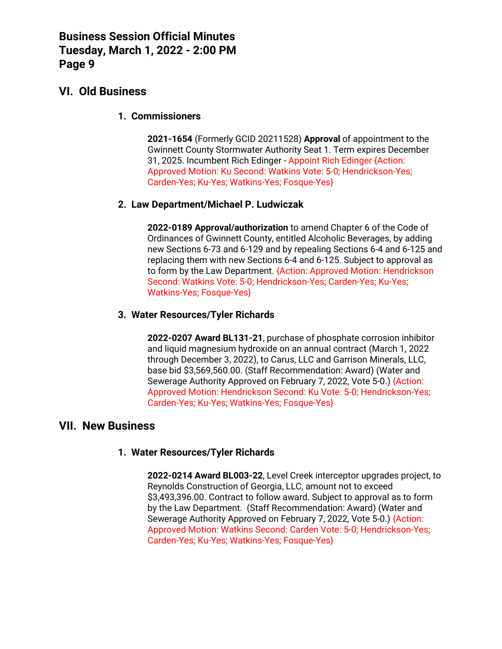## **VI. Old Business**

### **1. Commissioners**

**2021-1654** (Formerly GCID 20211528) **Approval** of appointment to the Gwinnett County Stormwater Authority Seat 1. Term expires December 31, 2025. Incumbent Rich Edinger - Appoint Rich Edinger {Action: Approved Motion: Ku Second: Watkins Vote: 5-0; Hendrickson-Yes; Carden-Yes; Ku-Yes; Watkins-Yes; Fosque-Yes}

### **2. Law Department/Michael P. Ludwiczak**

**2022-0189 Approval/authorization** to amend Chapter 6 of the Code of Ordinances of Gwinnett County, entitled Alcoholic Beverages, by adding new Sections 6-73 and 6-129 and by repealing Sections 6-4 and 6-125 and replacing them with new Sections 6-4 and 6-125. Subject to approval as to form by the Law Department. {Action: Approved Motion: Hendrickson Second: Watkins Vote: 5-0; Hendrickson-Yes; Carden-Yes; Ku-Yes; Watkins-Yes; Fosque-Yes}

### **3. Water Resources/Tyler Richards**

**2022-0207 Award BL131-21**, purchase of phosphate corrosion inhibitor and liquid magnesium hydroxide on an annual contract (March 1, 2022 through December 3, 2022), to Carus, LLC and Garrison Minerals, LLC, base bid \$3,569,560.00. (Staff Recommendation: Award) (Water and Sewerage Authority Approved on February 7, 2022, Vote 5-0.) {Action: Approved Motion: Hendrickson Second: Ku Vote: 5-0; Hendrickson-Yes; Carden-Yes; Ku-Yes; Watkins-Yes; Fosque-Yes}

### **VII. New Business**

### **1. Water Resources/Tyler Richards**

**2022-0214 Award BL003-22**, Level Creek interceptor upgrades project, to Reynolds Construction of Georgia, LLC, amount not to exceed \$3,493,396.00. Contract to follow award. Subject to approval as to form by the Law Department. (Staff Recommendation: Award) (Water and Sewerage Authority Approved on February 7, 2022, Vote 5-0.) {Action: Approved Motion: Watkins Second: Carden Vote: 5-0; Hendrickson-Yes; Carden-Yes; Ku-Yes; Watkins-Yes; Fosque-Yes}